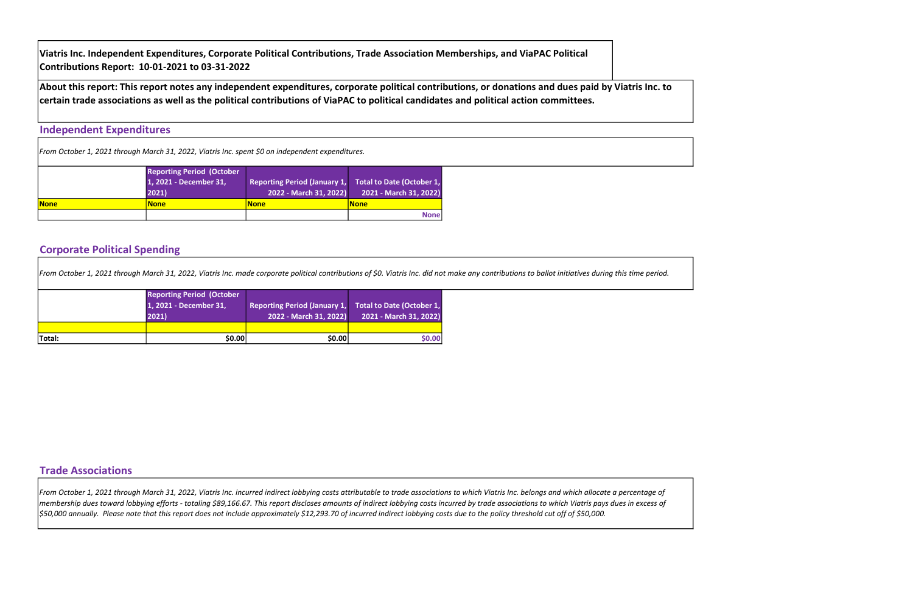#### Independent Expenditures

|             | <b>Reporting Period (October</b><br>1, 2021 - December 31,<br>2021) | Reporting Period (January 1, Total to Date (October 1,<br>2022 - March 31, 2022) | 2021 - March 31, 2022) |
|-------------|---------------------------------------------------------------------|----------------------------------------------------------------------------------|------------------------|
| <b>None</b> | <b>None</b>                                                         | <b>None</b>                                                                      | <u> None</u>           |
|             |                                                                     |                                                                                  | <b>None</b>            |

### Corporate Political Spending

#### Trade Associations

Viatris Inc. Independent Expenditures, Corporate Political Contributions, Trade Association Memberships, and ViaPAC Political Contributions Report: 10-01-2021 to 03-31-2022

| From October 1, 2021 through March 31, 2022, Viatris Inc. made corporate political contributions of \$0. Viatris Inc. did not make any contributions to ballot initiatives during this time period. |                                                                              |                                                                                  |                        |  |  |  |  |  |  |
|-----------------------------------------------------------------------------------------------------------------------------------------------------------------------------------------------------|------------------------------------------------------------------------------|----------------------------------------------------------------------------------|------------------------|--|--|--|--|--|--|
|                                                                                                                                                                                                     | <b>Reporting Period (October</b><br>1, 2021 - December 31,<br>$ 2021\rangle$ | Reporting Period (January 1, Total to Date (October 1,<br>2022 - March 31, 2022) | 2021 - March 31, 2022) |  |  |  |  |  |  |
| Total:                                                                                                                                                                                              | \$0.00                                                                       | \$0.00                                                                           | \$0.00                 |  |  |  |  |  |  |

About this report: This report notes any independent expenditures, corporate political contributions, or donations and dues paid by Viatris Inc. to certain trade associations as well as the political contributions of ViaPAC to political candidates and political action committees.

From October 1, 2021 through March 31, 2022, Viatris Inc. incurred indirect lobbying costs attributable to trade associations to which Viatris Inc. belongs and which allocate a percentage of membership dues toward lobbying efforts - totaling \$89,166.67. This report discloses amounts of indirect lobbying costs incurred by trade associations to which Viatris pays dues in excess of \$50,000 annually. Please note that this report does not include approximately \$12,293.70 of incurred indirect lobbying costs due to the policy threshold cut off of \$50,000.



From October 1, 2021 through March 31, 2022, Viatris Inc. spent \$0 on independent expenditures.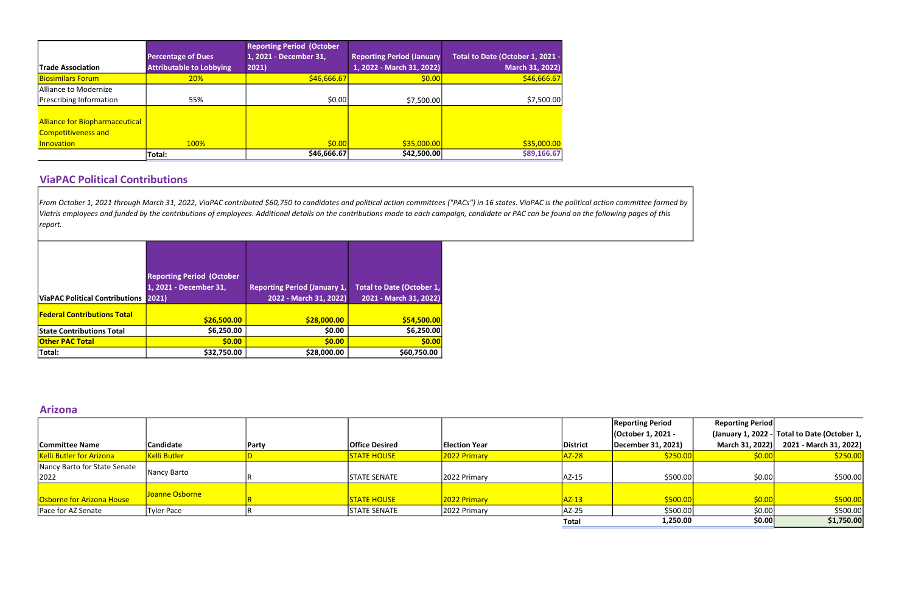|                                                                     |                                 | <b>Reporting Period (October</b> |                                   |                                  |
|---------------------------------------------------------------------|---------------------------------|----------------------------------|-----------------------------------|----------------------------------|
|                                                                     | <b>Percentage of Dues</b>       | 1, 2021 - December 31,           | <b>Reporting Period (January)</b> | Total to Date (October 1, 2021 - |
| <b>Trade Association</b>                                            | <b>Attributable to Lobbying</b> | 2021)                            | 1, 2022 - March 31, 2022)         | March 31, 2022)                  |
| <b>Biosimilars Forum</b>                                            | <b>20%</b>                      | \$46,666.67                      | \$0.00                            | \$46,666.67                      |
| Alliance to Modernize                                               |                                 |                                  |                                   |                                  |
| Prescribing Information                                             | 55%                             | \$0.00                           | \$7,500.00                        | \$7,500.00                       |
| <b>Alliance for Biopharmaceutical</b><br><b>Competitiveness and</b> |                                 |                                  |                                   |                                  |
| Innovation                                                          | 100%                            | \$0.00                           | \$35,000.00                       | \$35,000.00                      |
|                                                                     | Total:                          | \$46,666.67                      | \$42,500.00                       | \$89,166.67                      |

### ViaPAC Political Contributions

|                                      | <b>Reporting Period (October</b> |                                     |                                  |
|--------------------------------------|----------------------------------|-------------------------------------|----------------------------------|
|                                      | 1, 2021 - December 31,           | <b>Reporting Period (January 1,</b> | <b>Total to Date (October 1,</b> |
| ViaPAC Political Contributions 2021) |                                  | 2022 - March 31, 2022)              | 2021 - March 31, 2022)           |
| <b>Federal Contributions Total</b>   |                                  |                                     |                                  |
|                                      | \$26,500.00                      | \$28,000.00                         | \$54,500.00                      |
| <b>State Contributions Total</b>     | \$6,250.00                       | \$0.00                              | \$6,250.00                       |
| <b>Other PAC Total</b>               | \$0.00                           | \$0.00                              | \$0.00                           |
| Total:                               | \$32,750.00                      | \$28,000.00                         | \$60,750.00                      |

#### Arizona

From October 1, 2021 through March 31, 2022, ViaPAC contributed \$60,750 to candidates and political action committees ("PACs") in 16 states. ViaPAC is the political action committee formed by Viatris employees and funded by the contributions of employees. Additional details on the contributions made to each campaign, candidate or PAC can be found on the following pages of this report.

|                                      |                |              |                       |                      |                 | <b>Reporting Period</b> | <b>Reporting Period</b> |                                              |
|--------------------------------------|----------------|--------------|-----------------------|----------------------|-----------------|-------------------------|-------------------------|----------------------------------------------|
|                                      |                |              |                       |                      |                 | (October 1, 2021 -      |                         | (January 1, 2022 - Total to Date (October 1, |
| <b>Committee Name</b>                | Candidate      | <b>Party</b> | <b>Office Desired</b> | <b>Election Year</b> | <b>District</b> | December 31, 2021)      | March 31, 2022)         | 2021 - March 31, 2022)                       |
| <b>Kelli Butler for Arizona</b>      | Kelli Butler   |              | <b>STATE HOUSE</b>    | 2022 Primary         | AZ-28           | \$250.00                | \$0.00]                 | \$250.00                                     |
| Nancy Barto for State Senate<br>2022 | Nancy Barto    |              | STATE SENATE          | 2022 Primary         | AZ-15           | \$500.00                | \$0.00                  | \$500.00                                     |
| Osborne for Arizona House            | Joanne Osborne |              | <b>STATE HOUSE</b>    | 2022 Primary         | $AZ-13$         | \$500.00                | \$0.00                  | \$500.00                                     |
| Pace for AZ Senate                   | Tyler Pace     |              | <b>STATE SENATE</b>   | 2022 Primary         | AZ-25           | \$500.00                | \$0.00                  | \$500.00                                     |
|                                      |                |              |                       |                      | <b>Total</b>    | 1,250.00                | \$0.00                  | \$1,750.00                                   |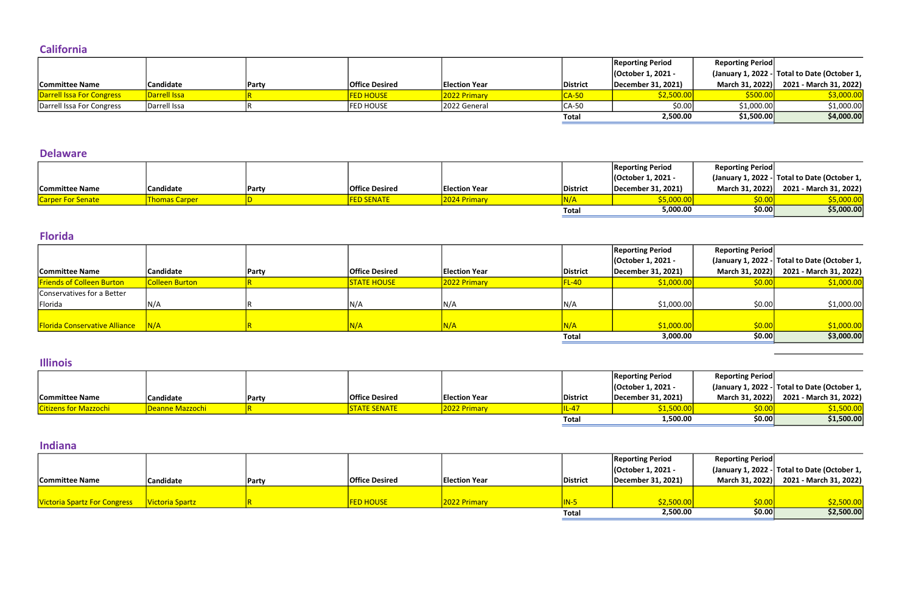### **California**

|                           |                  |              |                       |                      |              | <b>Reporting Period</b> | <b>Reporting Period</b> |                                              |
|---------------------------|------------------|--------------|-----------------------|----------------------|--------------|-------------------------|-------------------------|----------------------------------------------|
|                           |                  |              |                       |                      |              | (October 1, 2021 -      |                         | (January 1, 2022 - Total to Date (October 1, |
| <b>Committee Name</b>     | <b>Candidate</b> | <b>Party</b> | <b>Office Desired</b> | <b>Election Year</b> | District     | December 31, 2021)      | March 31, 2022)         | 2021 - March 31, 2022)                       |
| Darrell Issa For Congress | Darrell Issa     |              | <b>FED HOUSE</b>      | 2022 Primary         | <u>CA-50</u> | \$2,500.00              | \$500.00                | \$3,000.00                                   |
| Darrell Issa For Congress | Darrell Issa     |              | <b>FED HOUSE</b>      | 2022 General         | CA-50        | \$0.00                  | \$1,000.00              | \$1,000.00]                                  |
|                           |                  |              |                       |                      | Total        | 2,500.00                | \$1,500.00              | \$4,000.00                                   |

### Delaware

|                          |                      |       |                         |                      |                 | <b>Reporting Period</b> | <b>Reporting Period</b> |                                              |
|--------------------------|----------------------|-------|-------------------------|----------------------|-----------------|-------------------------|-------------------------|----------------------------------------------|
|                          |                      |       |                         |                      |                 | (October 1, 2021 -      |                         | (January 1, 2022 - Total to Date (October 1, |
| <b>Committee Name</b>    | 'Candidate           | Party | <b>Office Desired</b>   | <b>Election Year</b> | <b>District</b> | December 31, 2021)      | March 31, 2022)         | 2021 - March 31, 2022)                       |
| <b>Carper For Senate</b> | <b>Thomas Carper</b> |       | <mark>FED SENATE</mark> | 2024 Primary         |                 | \$5,000.00              |                         |                                              |
|                          |                      |       |                         |                      | Total           | 5,000.00                | \$0.00                  | \$5,000.00                                   |

### Florida

|                                      |                  |              |                       |                      |                 | <b>Reporting Period</b> | <b>Reporting Period</b> |                                              |
|--------------------------------------|------------------|--------------|-----------------------|----------------------|-----------------|-------------------------|-------------------------|----------------------------------------------|
|                                      |                  |              |                       |                      |                 | (October 1, 2021 -      |                         | (January 1, 2022 - Total to Date (October 1, |
| <b>Committee Name</b>                | <b>Candidate</b> | <b>Party</b> | <b>Office Desired</b> | <b>Election Year</b> | <b>District</b> | December 31, 2021)      |                         | March 31, 2022) 2021 - March 31, 2022)       |
| <b>Friends of Colleen Burton</b>     | Colleen Burton   |              | <b>STATE HOUSE</b>    | 2022 Primary         |                 | \$1,000.00              | \$0.00                  | \$1,000.00                                   |
| Conservatives for a Better           |                  |              |                       |                      |                 |                         |                         |                                              |
| Florida                              | N/A              |              | N/4                   | N/A                  | N/A             | \$1,000.00              | \$0.00                  | \$1,000.00                                   |
|                                      |                  |              |                       |                      |                 |                         |                         |                                              |
| <b>Florida Conservative Alliance</b> | N/A              |              | 81 / A                |                      | N/A             | \$1,000.00              | \$0.00                  | \$1,000.00                                   |
|                                      |                  |              |                       |                      | <b>Total</b>    | 3,000.00                | \$0.00                  | \$3,000.00                                   |

### Illinois

|                              |                  |       |                       |                      |          | <b>Reporting Period</b> | <b>Reporting Period</b> |                                              |
|------------------------------|------------------|-------|-----------------------|----------------------|----------|-------------------------|-------------------------|----------------------------------------------|
|                              |                  |       |                       |                      |          | Coctober 1, 2021 -      |                         | (January 1, 2022 - Total to Date (October 1, |
| <b>Committee Name</b>        | <b>Candidate</b> | Party | <b>Office Desired</b> | <b>Election Year</b> | District | December 31, 2021)      | March 31, 2022)         | 2021 - March 31, 2022)                       |
| <b>Citizens for Mazzochi</b> | Deanne Mazzochi  |       | <b>STATE SENATE</b>   | 2022 Primary         | IL-4     | \$1,500.00              | \$0.00                  | <u>\$1,500.00 </u>                           |
|                              |                  |       |                       |                      | Total    | 1,500.00                | \$0.00                  | \$1,500.00                                   |

 $\sim$ 

### Indiana

|                                     |                 |              |                       |                      |              | <b>Reporting Period</b> | <b>Reporting Period</b> |                                              |
|-------------------------------------|-----------------|--------------|-----------------------|----------------------|--------------|-------------------------|-------------------------|----------------------------------------------|
|                                     |                 |              |                       |                      |              | (October 1, 2021 -      |                         | (January 1, 2022 - Total to Date (October 1, |
| <b>Committee Name</b>               | Candidate       | <b>Party</b> | <b>Office Desired</b> | <b>Election Year</b> | District     | December 31, 2021)      |                         | March 31, 2022) 2021 - March 31, 2022)       |
|                                     |                 |              |                       |                      |              |                         |                         |                                              |
| <b>Victoria Spartz For Congress</b> | Victoria Spartz |              | <b>FED HOUSE</b>      | 2022 Primary         | $IN-5$       | \$2,500.00              | \$0.00                  | \$2,500.00                                   |
|                                     |                 |              |                       |                      | <b>Total</b> | 2,500.00                | \$0.00                  | \$2,500.00                                   |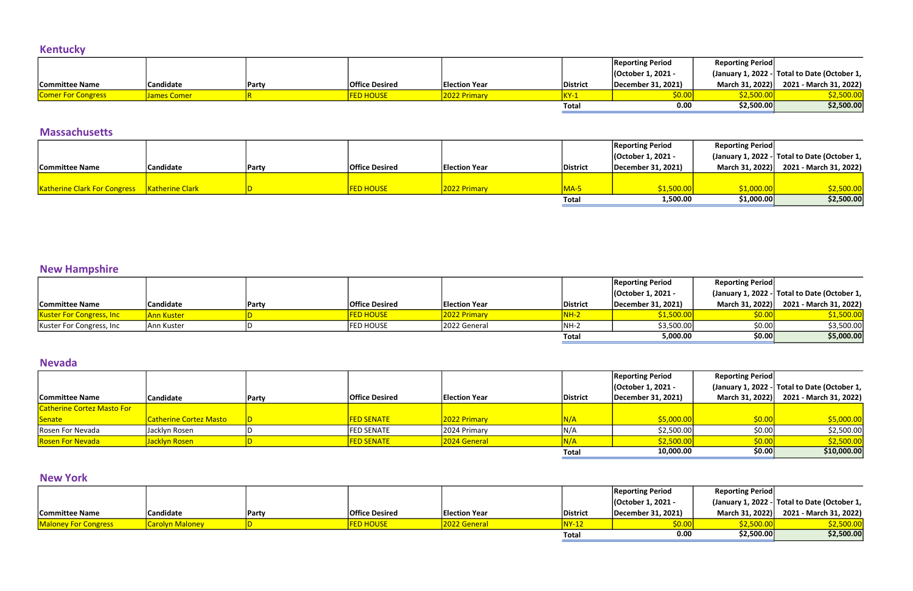## Kentucky

|                           |                  |               |                       |                      |                 | <b>Reporting Period</b> | <b>Reporting Period</b> |                                              |
|---------------------------|------------------|---------------|-----------------------|----------------------|-----------------|-------------------------|-------------------------|----------------------------------------------|
|                           |                  |               |                       |                      |                 | (October 1, 2021 -      |                         | (January 1, 2022 - Total to Date (October 1, |
| <b>Committee Name</b>     | <b>Candidate</b> | <b>IParty</b> | <b>Office Desired</b> | <b>Election Year</b> | <b>District</b> | December 31, 2021)      | March 31, 2022)         | 2021 - March 31, 2022)                       |
| <b>Comer For Congress</b> | James Comer      |               | <b>ED HOUSE</b>       | 2022 Primary         |                 | \$0.00                  | <b>\$2.500.0</b>        | 52,500.00                                    |
|                           |                  |               |                       |                      | Total           | 0.00                    | \$2,500.00              | \$2,500.00                                   |

### Massachusetts

|                                                |                  |              |                       |                      |                 | <b>Reporting Period</b> | <b>Reporting Period</b> |                                              |
|------------------------------------------------|------------------|--------------|-----------------------|----------------------|-----------------|-------------------------|-------------------------|----------------------------------------------|
|                                                |                  |              |                       |                      |                 | Cortober 1, 2021 -      |                         | (January 1, 2022 - Total to Date (October 1, |
| <b>Committee Name</b>                          | <b>Candidate</b> | <b>Party</b> | <b>Office Desired</b> | <b>Election Year</b> | <b>District</b> | December 31, 2021)      |                         | March 31, 2022) 2021 - March 31, 2022)       |
|                                                |                  |              |                       |                      |                 |                         |                         |                                              |
| Katherine Clark For Congress   Katherine Clark |                  |              | <b>FED HOUSE</b>      | 2022 Primary         | MA-L            | \$1,500.00              | \$1,000.00              | <u>\$2,500.00</u>                            |
|                                                |                  |              |                       |                      | <b>Total</b>    | 1,500.00                | \$1,000.00              | \$2,500.00                                   |

## New Hampshire

|                                  |                  |       |                       |                      |                   | <b>Reporting Period</b> | <b>Reporting Period</b> |                                              |
|----------------------------------|------------------|-------|-----------------------|----------------------|-------------------|-------------------------|-------------------------|----------------------------------------------|
|                                  |                  |       |                       |                      |                   | (October 1, 2021 -      |                         | (January 1, 2022 - Total to Date (October 1, |
| <b>Committee Name</b>            | <b>Candidate</b> | Party | <b>Office Desired</b> | <b>Election Year</b> | District          | December 31, 2021)      |                         | March 31, 2022) 2021 - March 31, 2022)       |
| <b>Kuster For Congress, Inc.</b> | Ann Kuster       |       | <b>FED HOUSE</b>      | 2022 Primary         | <mark>NH-2</mark> | \$1,500.00              | \$0.00]                 | \$1,500.00                                   |
| Kuster For Congress, Inc.        | Ann Kuster       |       | FED HOUSE             | 2022 General         | NH-2              | \$3,500.00              | \$0.00                  | \$3,500.00                                   |
|                                  |                  |       |                       |                      | Total             | 5,000.00                | \$0.00                  | \$5,000.00                                   |

### Nevada

|                                   |                               |       |                       |                      |                 | <b>Reporting Period</b> | <b>Reporting Period</b> |                                              |
|-----------------------------------|-------------------------------|-------|-----------------------|----------------------|-----------------|-------------------------|-------------------------|----------------------------------------------|
|                                   |                               |       |                       |                      |                 | (October 1, 2021 -      |                         | (January 1, 2022 - Total to Date (October 1, |
| <b>Committee Name</b>             | <b>Candidate</b>              | Party | <b>Office Desired</b> | <b>Election Year</b> | <b>District</b> | December 31, 2021)      | March 31, 2022)         | 2021 - March 31, 2022)                       |
| <b>Catherine Cortez Masto For</b> |                               |       |                       |                      |                 |                         |                         |                                              |
| Senate                            | <b>Catherine Cortez Masto</b> |       | <b>FED SENATE</b>     | 2022 Primary         | N/A             | \$5,000.00              | \$0.00                  | \$5,000.00                                   |
| Rosen For Nevada                  | Jacklyn Rosen                 |       | <b>FED SENATE</b>     | 2024 Primary         | N/A             | \$2,500.00              | \$0.00                  | \$2,500.00                                   |
| <b>Rosen For Nevada</b>           | Jacklyn Rosen                 |       | <b>FED SENATE</b>     | 2024 General         |                 | \$2,500.00              | \$0.00                  | \$2,500.00                                   |
|                                   |                               |       |                       |                      | <b>Total</b>    | 10,000.00               | \$0.00                  | \$10,000.00                                  |

### New York

|                             |                        |              |                       |                      |              | <b>Reporting Period</b> | <b>Reporting Period</b> |                                              |
|-----------------------------|------------------------|--------------|-----------------------|----------------------|--------------|-------------------------|-------------------------|----------------------------------------------|
|                             |                        |              |                       |                      |              | (October 1, 2021 -      |                         | (January 1, 2022 - Total to Date (October 1, |
| Committee Name              | <b>Candidate</b>       | <b>Party</b> | <b>Office Desired</b> | <b>Election Year</b> | District     | December 31, 2021)      |                         | March 31, 2022) 2021 - March 31, 2022)       |
| <b>Maloney For Congress</b> | <b>Carolyn Maloney</b> |              | <b>FED HOUSE</b>      | 2022 General         | <b>WY-1.</b> | \$0.00                  | <mark>\$2,500.00</mark> | <mark>\$2,500.00</mark>                      |
|                             |                        |              |                       |                      | <b>Total</b> | 0.00                    | \$2,500.00              | \$2,500.00                                   |